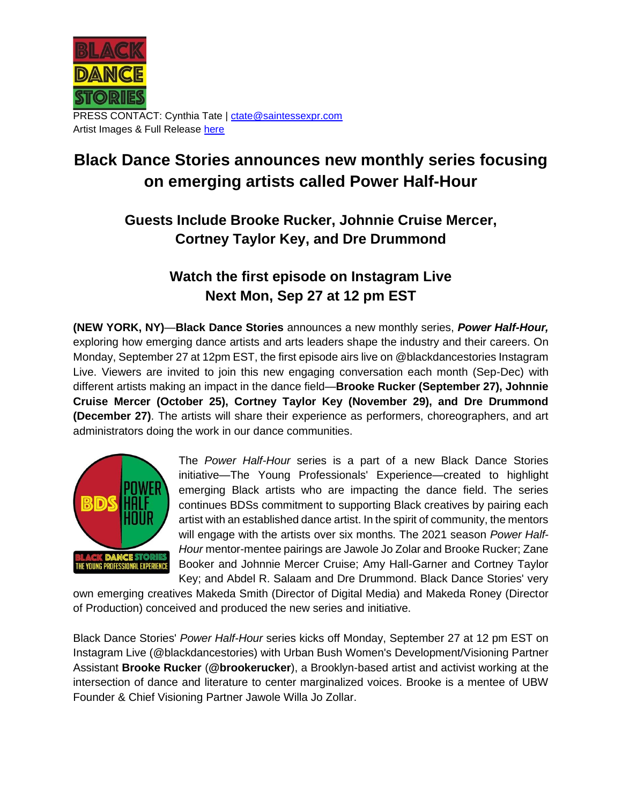

PRESS CONTACT: Cynthia Tate | [ctate@saintessexpr.com](mailto:ctate@saintessexpr.com) Artist Images & Full Release [here](https://drive.google.com/drive/folders/1i7llAFKteBob2dDTDBUxvFy724uPNUpT?usp=sharing)

# **Black Dance Stories announces new monthly series focusing on emerging artists called Power Half-Hour**

## **Guests Include Brooke Rucker, Johnnie Cruise Mercer, Cortney Taylor Key, and Dre Drummond**

### **Watch the first episode on Instagram Live Next Mon, Sep 27 at 12 pm EST**

**(NEW YORK, NY)**—**Black Dance Stories** announces a new monthly series, *Power Half-Hour,* exploring how emerging dance artists and arts leaders shape the industry and their careers. On Monday, September 27 at 12pm EST, the first episode airs live on @blackdancestories Instagram Live. Viewers are invited to join this new engaging conversation each month (Sep-Dec) with different artists making an impact in the dance field—**Brooke Rucker (September 27), Johnnie Cruise Mercer (October 25), Cortney Taylor Key (November 29), and Dre Drummond (December 27)**. The artists will share their experience as performers, choreographers, and art administrators doing the work in our dance communities.



The *Power Half-Hour* series is a part of a new Black Dance Stories initiative—The Young Professionals' Experience—created to highlight emerging Black artists who are impacting the dance field. The series continues BDSs commitment to supporting Black creatives by pairing each artist with an established dance artist. In the spirit of community, the mentors will engage with the artists over six months. The 2021 season *Power Half-Hour* mentor-mentee pairings are Jawole Jo Zolar and Brooke Rucker; Zane Booker and Johnnie Mercer Cruise; Amy Hall-Garner and Cortney Taylor Key; and Abdel R. Salaam and Dre Drummond. Black Dance Stories' very

own emerging creatives Makeda Smith (Director of Digital Media) and Makeda Roney (Director of Production) conceived and produced the new series and initiative.

Black Dance Stories' *Power Half-Hour* series kicks off Monday, September 27 at 12 pm EST on Instagram Live (@blackdancestories) with Urban Bush Women's Development/Visioning Partner Assistant **Brooke Rucker** (**@brookerucker**), a Brooklyn-based artist and activist working at the intersection of dance and literature to center marginalized voices. Brooke is a mentee of UBW Founder & Chief Visioning Partner Jawole Willa Jo Zollar.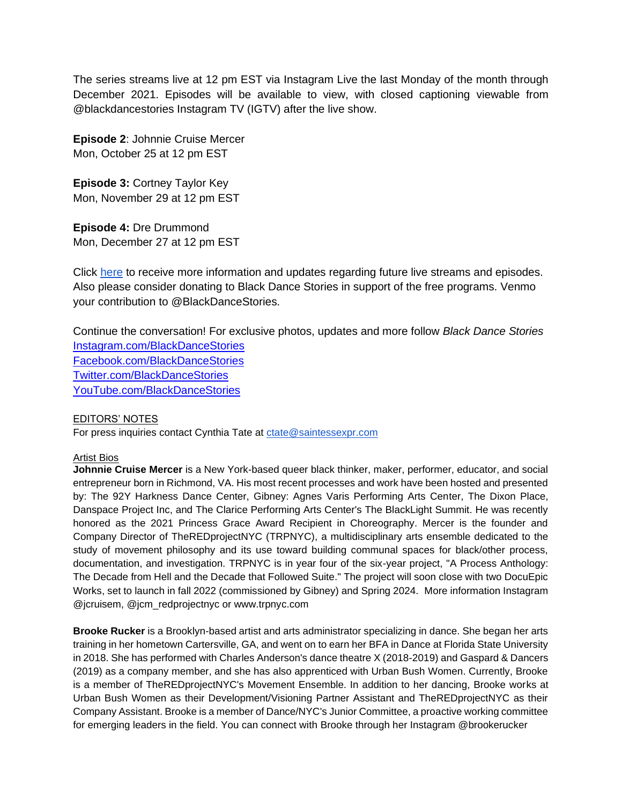The series streams live at 12 pm EST via Instagram Live the last Monday of the month through December 2021. Episodes will be available to view, with closed captioning viewable from @blackdancestories Instagram TV (IGTV) after the live show.

**Episode 2**: Johnnie Cruise Mercer Mon, October 25 at 12 pm EST

**Episode 3:** Cortney Taylor Key Mon, November 29 at 12 pm EST

**Episode 4:** Dre Drummond Mon, December 27 at 12 pm EST

Click [here](https://docs.google.com/forms/d/e/1FAIpQLSdHySLfWacGYb9YcxEj-HlrcvU57sf59cZqO9PhlklsFKAkyw/viewform) to receive more information and updates regarding future live streams and episodes. Also please consider donating to Black Dance Stories in support of the free programs. Venmo your contribution to @BlackDanceStories.

Continue the conversation! For exclusive photos, updates and more follow *Black Dance Stories* [Instagram.com/BlackDanceStories](https://www.instagram.com/blackdancestories/) [Facebook.com/BlackDanceStories](https://www.facebook.com/Black-Dance-Stories-114655733639715/?ref=page_internal) [Twitter.com/BlackDanceStories](https://twitter.com/blkdancestories?s=11) [YouTube.com/BlackDanceStories](https://www.youtube.com/channel/UChAdMkDQCaGWCIaBoSZirTg)

### EDITORS' NOTES

For press inquiries contact Cynthia Tate at [ctate@saintessexpr.com](mailto:ctate@saintessexpr.com)

### Artist Bios

**Johnnie Cruise Mercer** is a New York-based queer black thinker, maker, performer, educator, and social entrepreneur born in Richmond, VA. His most recent processes and work have been hosted and presented by: The 92Y Harkness Dance Center, Gibney: Agnes Varis Performing Arts Center, The Dixon Place, Danspace Project Inc, and The Clarice Performing Arts Center's The BlackLight Summit. He was recently honored as the 2021 Princess Grace Award Recipient in Choreography. Mercer is the founder and Company Director of TheREDprojectNYC (TRPNYC), a multidisciplinary arts ensemble dedicated to the study of movement philosophy and its use toward building communal spaces for black/other process, documentation, and investigation. TRPNYC is in year four of the six-year project, "A Process Anthology: The Decade from Hell and the Decade that Followed Suite." The project will soon close with two DocuEpic Works, set to launch in fall 2022 (commissioned by Gibney) and Spring 2024. More information Instagram @jcruisem, @jcm\_redprojectnyc or www.trpnyc.com

**Brooke Rucker** is a Brooklyn-based artist and arts administrator specializing in dance. She began her arts training in her hometown Cartersville, GA, and went on to earn her BFA in Dance at Florida State University in 2018. She has performed with Charles Anderson's dance theatre X (2018-2019) and Gaspard & Dancers (2019) as a company member, and she has also apprenticed with Urban Bush Women. Currently, Brooke is a member of TheREDprojectNYC's Movement Ensemble. In addition to her dancing, Brooke works at Urban Bush Women as their Development/Visioning Partner Assistant and TheREDprojectNYC as their Company Assistant. Brooke is a member of Dance/NYC's Junior Committee, a proactive working committee for emerging leaders in the field. You can connect with Brooke through her Instagram @brookerucker